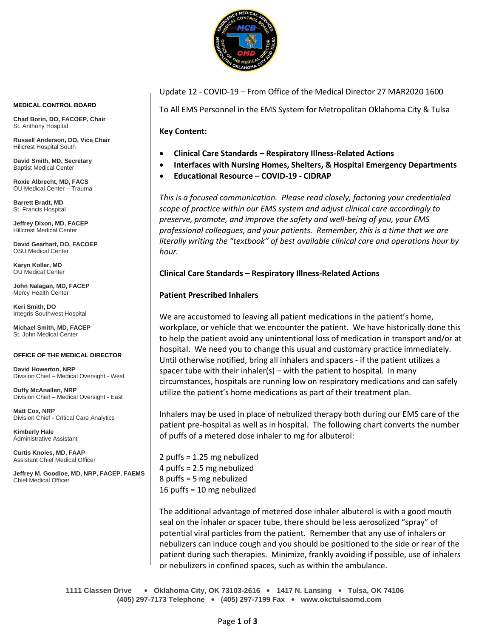

Update 12 - COVID-19 – From Office of the Medical Director 27 MAR2020 1600

To All EMS Personnel in the EMS System for Metropolitan Oklahoma City & Tulsa

## **Key Content:**

- **Clinical Care Standards – Respiratory Illness-Related Actions**
- **Interfaces with Nursing Homes, Shelters, & Hospital Emergency Departments**
- **Educational Resource – COVID-19 - CIDRAP**

*This is a focused communication. Please read closely, factoring your credentialed scope of practice within our EMS system and adjust clinical care accordingly to preserve, promote, and improve the safety and well-being of you, your EMS professional colleagues, and your patients. Remember, this is a time that we are literally writing the "textbook" of best available clinical care and operations hour by hour.*

## **Clinical Care Standards – Respiratory Illness-Related Actions**

## **Patient Prescribed Inhalers**

We are accustomed to leaving all patient medications in the patient's home, workplace, or vehicle that we encounter the patient. We have historically done this to help the patient avoid any unintentional loss of medication in transport and/or at hospital. We need you to change this usual and customary practice immediately. Until otherwise notified, bring all inhalers and spacers - if the patient utilizes a spacer tube with their inhaler(s) – with the patient to hospital. In many circumstances, hospitals are running low on respiratory medications and can safely utilize the patient's home medications as part of their treatment plan.

Inhalers may be used in place of nebulized therapy both during our EMS care of the patient pre-hospital as well as in hospital. The following chart converts the number of puffs of a metered dose inhaler to mg for albuterol:

2 puffs = 1.25 mg nebulized 4 puffs = 2.5 mg nebulized 8 puffs = 5 mg nebulized 16 puffs = 10 mg nebulized

The additional advantage of metered dose inhaler albuterol is with a good mouth seal on the inhaler or spacer tube, there should be less aerosolized "spray" of potential viral particles from the patient. Remember that any use of inhalers or nebulizers can induce cough and you should be positioned to the side or rear of the patient during such therapies. Minimize, frankly avoiding if possible, use of inhalers or nebulizers in confined spaces, such as within the ambulance.

**1111 Classen Drive** • **Oklahoma City, OK 73103-2616** • **1417 N. Lansing** • **Tulsa, OK 74106 (405) 297-7173 Telephone** • **(405) 297-7199 Fax** • **www.okctulsaomd.com**

#### **MEDICAL CONTROL BOARD**

**Chad Borin, DO, FACOEP, Chair**  St. Anthony Hospital

**Russell Anderson, DO, Vice Chair** Hillcrest Hospital South

**David Smith, MD, Secretary** Baptist Medical Center

**Roxie Albrecht, MD, FACS** OU Medical Center – Trauma

**Barrett Bradt, MD** St. Francis Hospital

**Jeffrey Dixon, MD, FACEP** Hillcrest Medical Center

**David Gearhart, DO, FACOEP** OSU Medical Center

**Karyn Koller, MD** OU Medical Center

**John Nalagan, MD, FACEP** Mercy Health Center

**Keri Smith, DO** Integris Southwest Hospital

**Michael Smith, MD, FACEP** St. John Medical Center

#### **OFFICE OF THE MEDICAL DIRECTOR**

**David Howerton, NRP** Division Chief – Medical Oversight - West

**Duffy McAnallen, NRP** Division Chief – Medical Oversight - East

**Matt Cox, NRP** Division Chief - Critical Care Analytics

**Kimberly Hale** Administrative Assistant

**Curtis Knoles, MD, FAAP** Assistant Chief Medical Officer

**Jeffrey M. Goodloe, MD, NRP, FACEP, FAEMS** Chief Medical Officer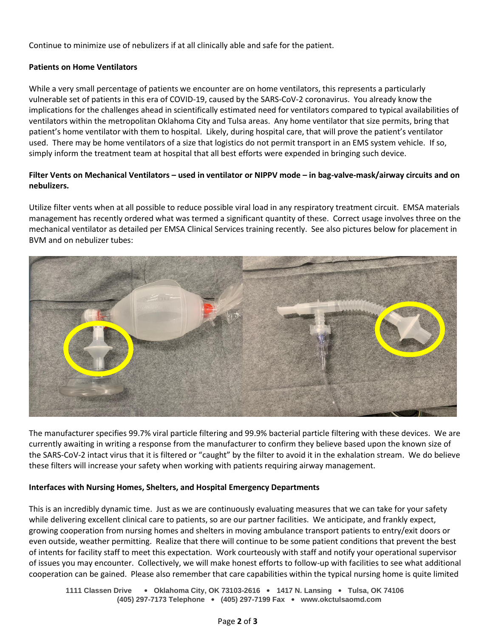Continue to minimize use of nebulizers if at all clinically able and safe for the patient.

# **Patients on Home Ventilators**

While a very small percentage of patients we encounter are on home ventilators, this represents a particularly vulnerable set of patients in this era of COVID-19, caused by the SARS-CoV-2 coronavirus. You already know the implications for the challenges ahead in scientifically estimated need for ventilators compared to typical availabilities of ventilators within the metropolitan Oklahoma City and Tulsa areas. Any home ventilator that size permits, bring that patient's home ventilator with them to hospital. Likely, during hospital care, that will prove the patient's ventilator used. There may be home ventilators of a size that logistics do not permit transport in an EMS system vehicle. If so, simply inform the treatment team at hospital that all best efforts were expended in bringing such device.

# **Filter Vents on Mechanical Ventilators – used in ventilator or NIPPV mode – in bag-valve-mask/airway circuits and on nebulizers.**

Utilize filter vents when at all possible to reduce possible viral load in any respiratory treatment circuit. EMSA materials management has recently ordered what was termed a significant quantity of these. Correct usage involves three on the mechanical ventilator as detailed per EMSA Clinical Services training recently. See also pictures below for placement in BVM and on nebulizer tubes:



The manufacturer specifies 99.7% viral particle filtering and 99.9% bacterial particle filtering with these devices. We are currently awaiting in writing a response from the manufacturer to confirm they believe based upon the known size of the SARS-CoV-2 intact virus that it is filtered or "caught" by the filter to avoid it in the exhalation stream. We do believe these filters will increase your safety when working with patients requiring airway management.

## **Interfaces with Nursing Homes, Shelters, and Hospital Emergency Departments**

This is an incredibly dynamic time. Just as we are continuously evaluating measures that we can take for your safety while delivering excellent clinical care to patients, so are our partner facilities. We anticipate, and frankly expect, growing cooperation from nursing homes and shelters in moving ambulance transport patients to entry/exit doors or even outside, weather permitting. Realize that there will continue to be some patient conditions that prevent the best of intents for facility staff to meet this expectation. Work courteously with staff and notify your operational supervisor of issues you may encounter. Collectively, we will make honest efforts to follow-up with facilities to see what additional cooperation can be gained. Please also remember that care capabilities within the typical nursing home is quite limited

**1111 Classen Drive** • **Oklahoma City, OK 73103-2616** • **1417 N. Lansing** • **Tulsa, OK 74106 (405) 297-7173 Telephone** • **(405) 297-7199 Fax** • **www.okctulsaomd.com**